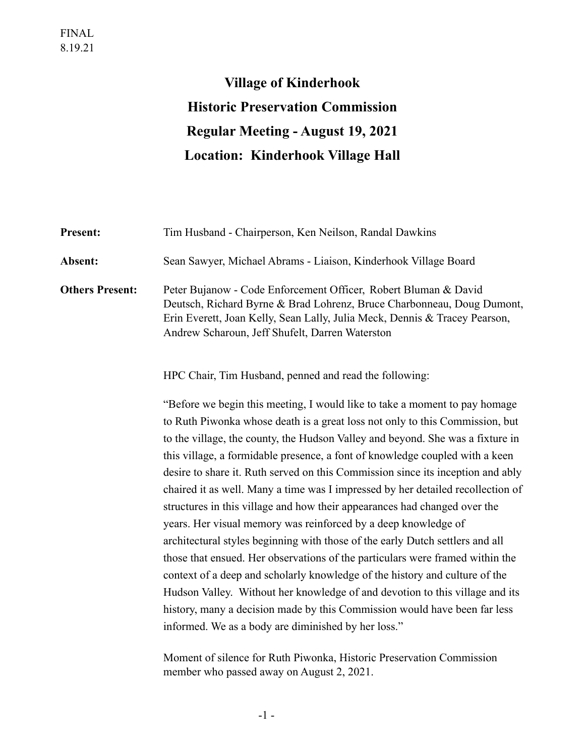# **Village of Kinderhook Historic Preservation Commission Regular Meeting - August 19, 2021 Location: Kinderhook Village Hall**

| Present:               | Tim Husband - Chairperson, Ken Neilson, Randal Dawkins                                                                                                                                                                                                                                                                                                                                                                                                                                                                                                                                                                                                                                                                                                                                                                                                                                                                                                                                                                                                                                                                 |
|------------------------|------------------------------------------------------------------------------------------------------------------------------------------------------------------------------------------------------------------------------------------------------------------------------------------------------------------------------------------------------------------------------------------------------------------------------------------------------------------------------------------------------------------------------------------------------------------------------------------------------------------------------------------------------------------------------------------------------------------------------------------------------------------------------------------------------------------------------------------------------------------------------------------------------------------------------------------------------------------------------------------------------------------------------------------------------------------------------------------------------------------------|
| Absent:                | Sean Sawyer, Michael Abrams - Liaison, Kinderhook Village Board                                                                                                                                                                                                                                                                                                                                                                                                                                                                                                                                                                                                                                                                                                                                                                                                                                                                                                                                                                                                                                                        |
| <b>Others Present:</b> | Peter Bujanow - Code Enforcement Officer, Robert Bluman & David<br>Deutsch, Richard Byrne & Brad Lohrenz, Bruce Charbonneau, Doug Dumont,<br>Erin Everett, Joan Kelly, Sean Lally, Julia Meck, Dennis & Tracey Pearson,<br>Andrew Scharoun, Jeff Shufelt, Darren Waterston                                                                                                                                                                                                                                                                                                                                                                                                                                                                                                                                                                                                                                                                                                                                                                                                                                             |
|                        | HPC Chair, Tim Husband, penned and read the following:                                                                                                                                                                                                                                                                                                                                                                                                                                                                                                                                                                                                                                                                                                                                                                                                                                                                                                                                                                                                                                                                 |
|                        | "Before we begin this meeting, I would like to take a moment to pay homage<br>to Ruth Piwonka whose death is a great loss not only to this Commission, but<br>to the village, the county, the Hudson Valley and beyond. She was a fixture in<br>this village, a formidable presence, a font of knowledge coupled with a keen<br>desire to share it. Ruth served on this Commission since its inception and ably<br>chaired it as well. Many a time was I impressed by her detailed recollection of<br>structures in this village and how their appearances had changed over the<br>years. Her visual memory was reinforced by a deep knowledge of<br>architectural styles beginning with those of the early Dutch settlers and all<br>those that ensued. Her observations of the particulars were framed within the<br>context of a deep and scholarly knowledge of the history and culture of the<br>Hudson Valley. Without her knowledge of and devotion to this village and its<br>history, many a decision made by this Commission would have been far less<br>informed. We as a body are diminished by her loss." |

Moment of silence for Ruth Piwonka, Historic Preservation Commission member who passed away on August 2, 2021.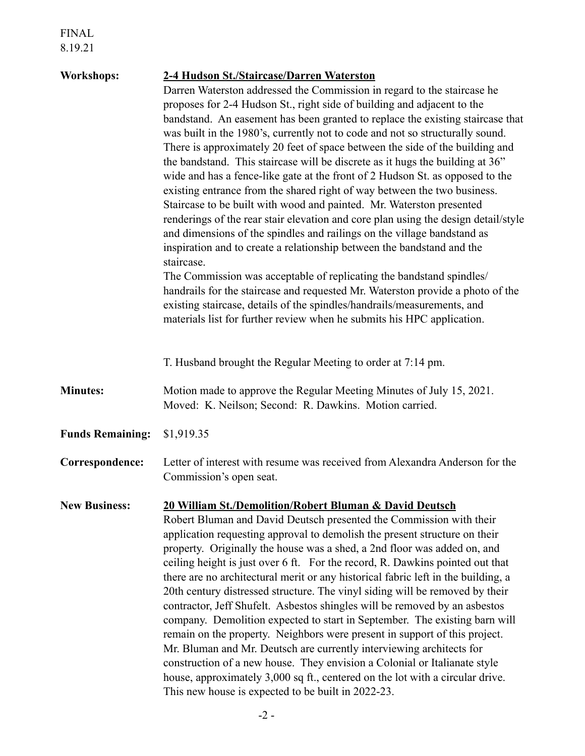| <b>Workshops:</b>       | 2-4 Hudson St./Staircase/Darren Waterston                                          |
|-------------------------|------------------------------------------------------------------------------------|
|                         | Darren Waterston addressed the Commission in regard to the staircase he            |
|                         | proposes for 2-4 Hudson St., right side of building and adjacent to the            |
|                         | bandstand. An easement has been granted to replace the existing staircase that     |
|                         | was built in the 1980's, currently not to code and not so structurally sound.      |
|                         |                                                                                    |
|                         | There is approximately 20 feet of space between the side of the building and       |
|                         | the bandstand. This staircase will be discrete as it hugs the building at 36"      |
|                         | wide and has a fence-like gate at the front of 2 Hudson St. as opposed to the      |
|                         | existing entrance from the shared right of way between the two business.           |
|                         | Staircase to be built with wood and painted. Mr. Waterston presented               |
|                         | renderings of the rear stair elevation and core plan using the design detail/style |
|                         | and dimensions of the spindles and railings on the village bandstand as            |
|                         | inspiration and to create a relationship between the bandstand and the             |
|                         | staircase.                                                                         |
|                         | The Commission was acceptable of replicating the bandstand spindles/               |
|                         |                                                                                    |
|                         | handrails for the staircase and requested Mr. Waterston provide a photo of the     |
|                         | existing staircase, details of the spindles/handrails/measurements, and            |
|                         | materials list for further review when he submits his HPC application.             |
|                         |                                                                                    |
|                         |                                                                                    |
|                         | T. Husband brought the Regular Meeting to order at 7:14 pm.                        |
| <b>Minutes:</b>         | Motion made to approve the Regular Meeting Minutes of July 15, 2021.               |
|                         | Moved: K. Neilson; Second: R. Dawkins. Motion carried.                             |
|                         |                                                                                    |
| <b>Funds Remaining:</b> | \$1,919.35                                                                         |
|                         |                                                                                    |
| Correspondence:         | Letter of interest with resume was received from Alexandra Anderson for the        |
|                         | Commission's open seat.                                                            |
|                         |                                                                                    |
| <b>New Business:</b>    | <b>20 William St./Demolition/Robert Bluman &amp; David Deutsch</b>                 |
|                         | Robert Bluman and David Deutsch presented the Commission with their                |
|                         | application requesting approval to demolish the present structure on their         |
|                         | property. Originally the house was a shed, a 2nd floor was added on, and           |
|                         |                                                                                    |
|                         | ceiling height is just over 6 ft. For the record, R. Dawkins pointed out that      |
|                         | there are no architectural merit or any historical fabric left in the building, a  |
|                         | 20th century distressed structure. The vinyl siding will be removed by their       |
|                         | contractor, Jeff Shufelt. Asbestos shingles will be removed by an asbestos         |
|                         | company. Demolition expected to start in September. The existing barn will         |
|                         | remain on the property. Neighbors were present in support of this project.         |
|                         | Mr. Bluman and Mr. Deutsch are currently interviewing architects for               |
|                         | construction of a new house. They envision a Colonial or Italianate style          |
|                         | house, approximately 3,000 sq ft., centered on the lot with a circular drive.      |
|                         | This new house is expected to be built in 2022-23.                                 |
|                         |                                                                                    |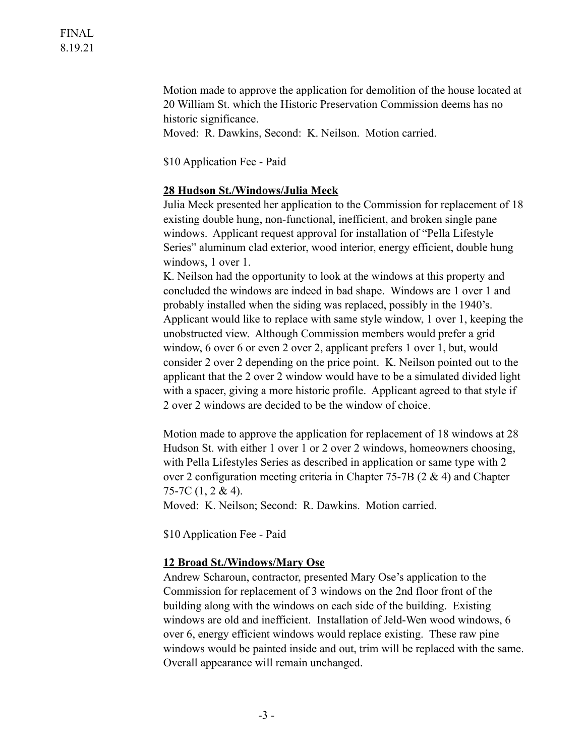FINAL 8.19.21

> Motion made to approve the application for demolition of the house located at 20 William St. which the Historic Preservation Commission deems has no historic significance.

Moved: R. Dawkins, Second: K. Neilson. Motion carried.

\$10 Application Fee - Paid

#### **28 Hudson St./Windows/Julia Meck**

Julia Meck presented her application to the Commission for replacement of 18 existing double hung, non-functional, inefficient, and broken single pane windows. Applicant request approval for installation of "Pella Lifestyle Series" aluminum clad exterior, wood interior, energy efficient, double hung windows, 1 over 1.

K. Neilson had the opportunity to look at the windows at this property and concluded the windows are indeed in bad shape. Windows are 1 over 1 and probably installed when the siding was replaced, possibly in the 1940's. Applicant would like to replace with same style window, 1 over 1, keeping the unobstructed view. Although Commission members would prefer a grid window, 6 over 6 or even 2 over 2, applicant prefers 1 over 1, but, would consider 2 over 2 depending on the price point. K. Neilson pointed out to the applicant that the 2 over 2 window would have to be a simulated divided light with a spacer, giving a more historic profile. Applicant agreed to that style if 2 over 2 windows are decided to be the window of choice.

Motion made to approve the application for replacement of 18 windows at 28 Hudson St. with either 1 over 1 or 2 over 2 windows, homeowners choosing, with Pella Lifestyles Series as described in application or same type with 2 over 2 configuration meeting criteria in Chapter 75-7B (2 & 4) and Chapter 75-7C (1, 2 & 4).

Moved: K. Neilson; Second: R. Dawkins. Motion carried.

\$10 Application Fee - Paid

#### **12 Broad St./Windows/Mary Ose**

Andrew Scharoun, contractor, presented Mary Ose's application to the Commission for replacement of 3 windows on the 2nd floor front of the building along with the windows on each side of the building. Existing windows are old and inefficient. Installation of Jeld-Wen wood windows, 6 over 6, energy efficient windows would replace existing. These raw pine windows would be painted inside and out, trim will be replaced with the same. Overall appearance will remain unchanged.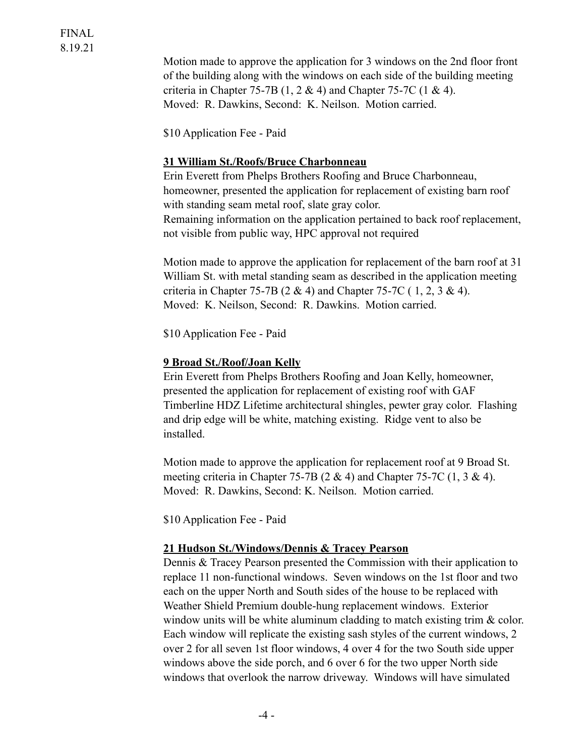Motion made to approve the application for 3 windows on the 2nd floor front of the building along with the windows on each side of the building meeting criteria in Chapter 75-7B  $(1, 2 \& 4)$  and Chapter 75-7C  $(1 \& 4)$ . Moved: R. Dawkins, Second: K. Neilson. Motion carried.

\$10 Application Fee - Paid

## **31 William St./Roofs/Bruce Charbonneau**

Erin Everett from Phelps Brothers Roofing and Bruce Charbonneau, homeowner, presented the application for replacement of existing barn roof with standing seam metal roof, slate gray color. Remaining information on the application pertained to back roof replacement, not visible from public way, HPC approval not required

Motion made to approve the application for replacement of the barn roof at 31 William St. with metal standing seam as described in the application meeting criteria in Chapter 75-7B (2 & 4) and Chapter 75-7C (1, 2, 3 & 4). Moved: K. Neilson, Second: R. Dawkins. Motion carried.

\$10 Application Fee - Paid

## **9 Broad St./Roof/Joan Kelly**

Erin Everett from Phelps Brothers Roofing and Joan Kelly, homeowner, presented the application for replacement of existing roof with GAF Timberline HDZ Lifetime architectural shingles, pewter gray color. Flashing and drip edge will be white, matching existing. Ridge vent to also be installed.

Motion made to approve the application for replacement roof at 9 Broad St. meeting criteria in Chapter 75-7B  $(2 \& 4)$  and Chapter 75-7C  $(1, 3 \& 4)$ . Moved: R. Dawkins, Second: K. Neilson. Motion carried.

\$10 Application Fee - Paid

## **21 Hudson St./Windows/Dennis & Tracey Pearson**

Dennis & Tracey Pearson presented the Commission with their application to replace 11 non-functional windows. Seven windows on the 1st floor and two each on the upper North and South sides of the house to be replaced with Weather Shield Premium double-hung replacement windows. Exterior window units will be white aluminum cladding to match existing trim & color. Each window will replicate the existing sash styles of the current windows, 2 over 2 for all seven 1st floor windows, 4 over 4 for the two South side upper windows above the side porch, and 6 over 6 for the two upper North side windows that overlook the narrow driveway. Windows will have simulated